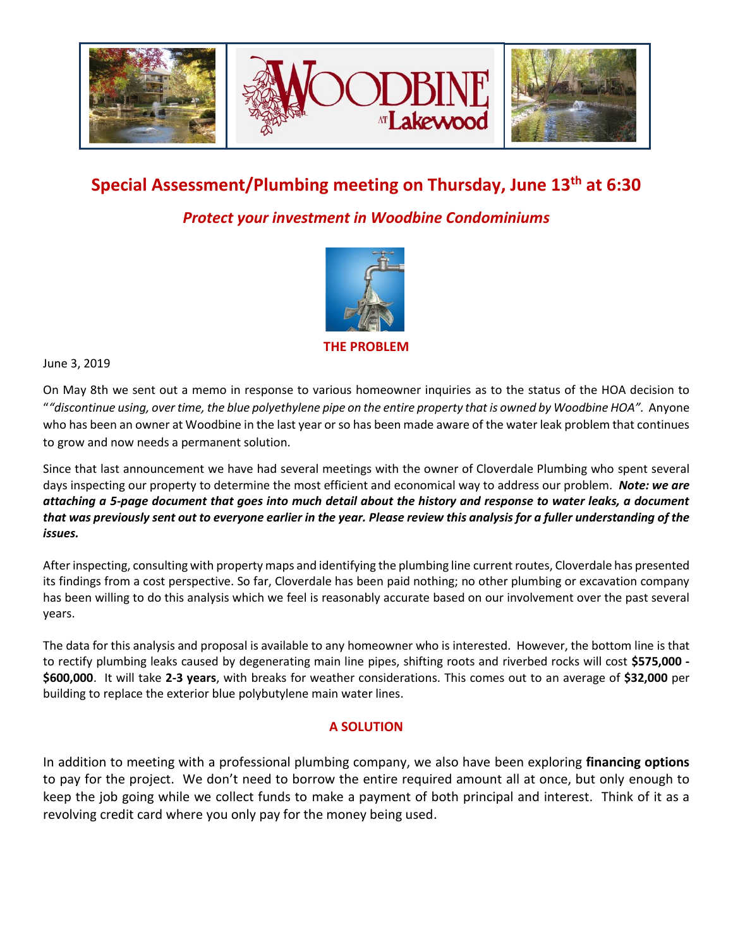

# **Special Assessment/Plumbing meeting on Thursday, June 13th at 6:30**

## *Protect your investment in Woodbine Condominiums*



**THE PROBLEM**

June 3, 2019

On May 8th we sent out a memo in response to various homeowner inquiries as to the status of the HOA decision to "*"discontinue using, over time, the blue polyethylene pipe on the entire property that is owned by Woodbine HOA".* Anyone who has been an owner at Woodbine in the last year or so has been made aware of the water leak problem that continues to grow and now needs a permanent solution.

Since that last announcement we have had several meetings with the owner of Cloverdale Plumbing who spent several days inspecting our property to determine the most efficient and economical way to address our problem. *Note: we are attaching a 5-page document that goes into much detail about the history and response to water leaks, a document that was previously sent out to everyone earlier in the year. Please review this analysis for a fuller understanding of the issues.* 

After inspecting, consulting with property maps and identifying the plumbing line current routes, Cloverdale has presented its findings from a cost perspective. So far, Cloverdale has been paid nothing; no other plumbing or excavation company has been willing to do this analysis which we feel is reasonably accurate based on our involvement over the past several years.

The data for this analysis and proposal is available to any homeowner who is interested. However, the bottom line is that to rectify plumbing leaks caused by degenerating main line pipes, shifting roots and riverbed rocks will cost **\$575,000 - \$600,000**. It will take **2-3 years**, with breaks for weather considerations. This comes out to an average of **\$32,000** per building to replace the exterior blue polybutylene main water lines.

#### **A SOLUTION**

In addition to meeting with a professional plumbing company, we also have been exploring **financing options** to pay for the project. We don't need to borrow the entire required amount all at once, but only enough to keep the job going while we collect funds to make a payment of both principal and interest. Think of it as a revolving credit card where you only pay for the money being used.